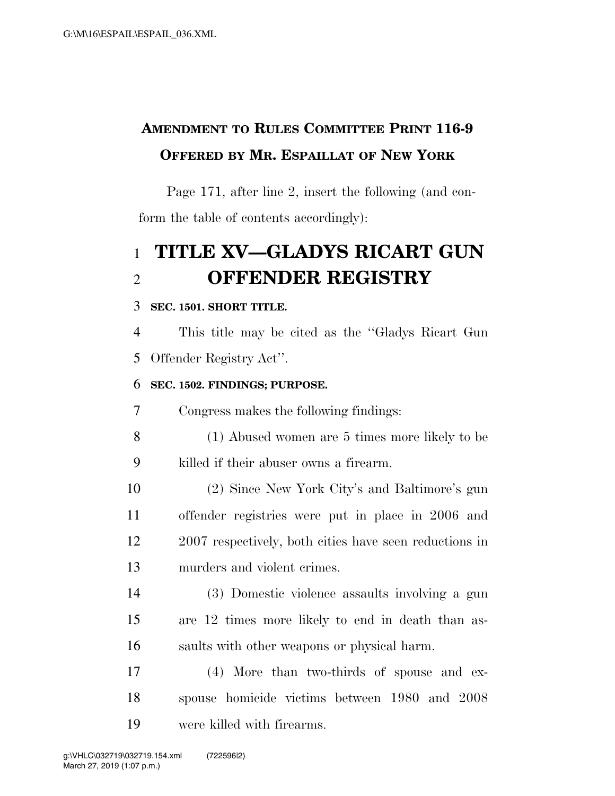# **AMENDMENT TO RULES COMMITTEE PRINT 116-9 OFFERED BY MR. ESPAILLAT OF NEW YORK**

Page 171, after line 2, insert the following (and conform the table of contents accordingly):

# **TITLE XV—GLADYS RICART GUN OFFENDER REGISTRY**

### **SEC. 1501. SHORT TITLE.**

 This title may be cited as the ''Gladys Ricart Gun Offender Registry Act''.

### **SEC. 1502. FINDINGS; PURPOSE.**

Congress makes the following findings:

- (1) Abused women are 5 times more likely to be killed if their abuser owns a firearm.
- (2) Since New York City's and Baltimore's gun offender registries were put in place in 2006 and 2007 respectively, both cities have seen reductions in murders and violent crimes.
- (3) Domestic violence assaults involving a gun are 12 times more likely to end in death than as-saults with other weapons or physical harm.
- (4) More than two-thirds of spouse and ex- spouse homicide victims between 1980 and 2008 were killed with firearms.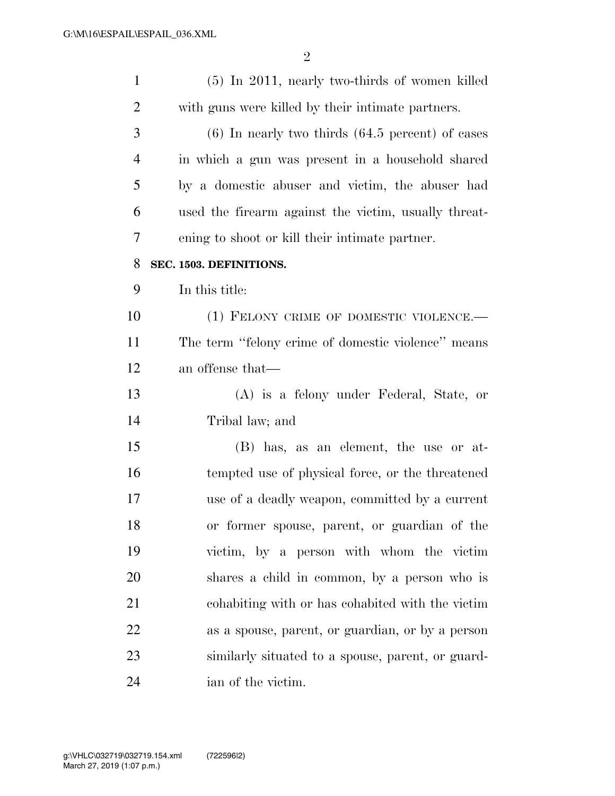| $\mathbf{1}$   | $(5)$ In 2011, nearly two-thirds of women killed     |
|----------------|------------------------------------------------------|
| $\overline{2}$ | with guns were killed by their intimate partners.    |
| 3              | $(6)$ In nearly two thirds $(64.5$ percent) of cases |
| $\overline{4}$ | in which a gun was present in a household shared     |
| 5              | by a domestic abuser and victim, the abuser had      |
| 6              | used the firearm against the victim, usually threat- |
| 7              | ening to shoot or kill their intimate partner.       |
| 8              | SEC. 1503. DEFINITIONS.                              |
| 9              | In this title:                                       |
| 10             | (1) FELONY CRIME OF DOMESTIC VIOLENCE.-              |
| 11             | The term "felony crime of domestic violence" means   |
| 12             | an offense that—                                     |
| 13             | (A) is a felony under Federal, State, or             |
| 14             | Tribal law; and                                      |
| 15             | (B) has, as an element, the use or at-               |
| 16             | tempted use of physical force, or the threatened     |
| 17             | use of a deadly weapon, committed by a current       |
| 18             | or former spouse, parent, or guardian of the         |
| 19             | victim, by a person with whom the victim             |
| 20             | shares a child in common, by a person who is         |
| 21             | cohabiting with or has cohabited with the victim     |
| 22             | as a spouse, parent, or guardian, or by a person     |
| 23             | similarly situated to a spouse, parent, or guard-    |
| 24             | ian of the victim.                                   |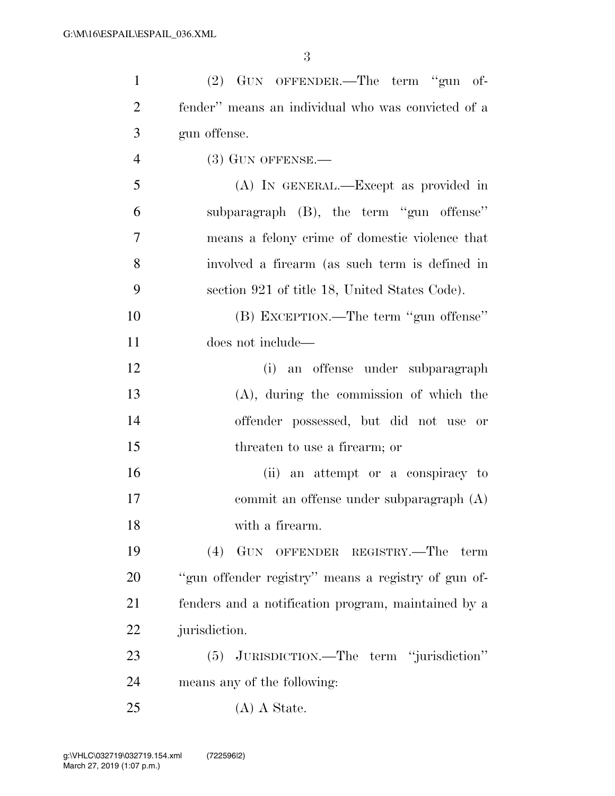| $\mathbf{1}$   | (2) GUN OFFENDER.—The term "gun of-                 |
|----------------|-----------------------------------------------------|
| $\overline{2}$ | fender" means an individual who was convicted of a  |
| 3              | gun offense.                                        |
| $\overline{4}$ | $(3)$ GUN OFFENSE.—                                 |
| 5              | (A) IN GENERAL.—Except as provided in               |
| 6              | subparagraph (B), the term "gun offense"            |
| 7              | means a felony crime of domestic violence that      |
| 8              | involved a firearm (as such term is defined in      |
| 9              | section 921 of title 18, United States Code).       |
| 10             | (B) EXCEPTION.—The term "gun offense"               |
| 11             | does not include—                                   |
| 12             | (i) an offense under subparagraph                   |
| 13             | $(A)$ , during the commission of which the          |
| 14             | offender possessed, but did not use or              |
| 15             | threaten to use a firearm; or                       |
| 16             | (ii) an attempt or a conspiracy to                  |
| 17             | commit an offense under subparagraph $(A)$          |
| 18             | with a firearm.                                     |
| 19             | (4)<br>GUN OFFENDER REGISTRY.—The<br>term           |
| 20             | "gun offender registry" means a registry of gun of- |
| 21             | fenders and a notification program, maintained by a |
| 22             | jurisdiction.                                       |
| 23             | (5) JURISDICTION.—The term "jurisdiction"           |
| 24             | means any of the following:                         |
| 25             | $(A)$ A State.                                      |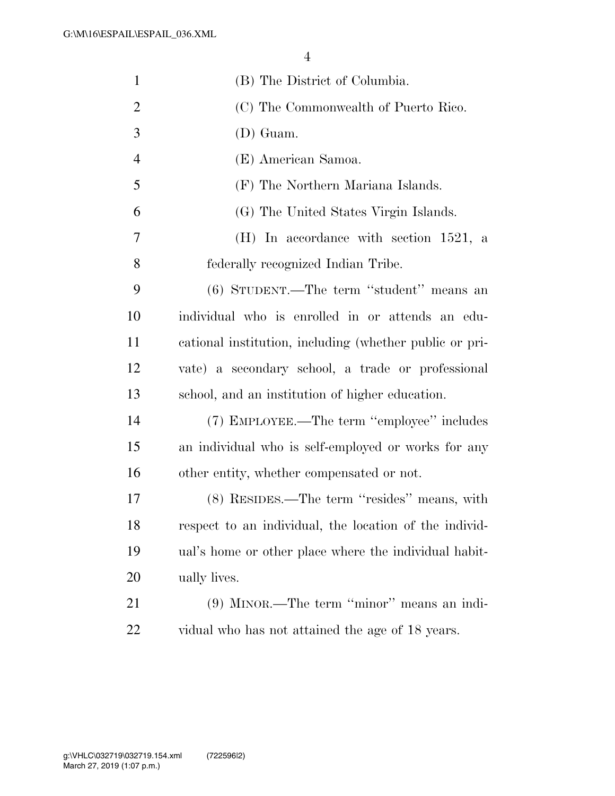| $\mathbf{1}$   | (B) The District of Columbia.                           |
|----------------|---------------------------------------------------------|
| $\overline{c}$ | (C) The Commonwealth of Puerto Rico.                    |
| 3              | $(D)$ Guam.                                             |
| $\overline{4}$ | (E) American Samoa.                                     |
| 5              | (F) The Northern Mariana Islands.                       |
| 6              | (G) The United States Virgin Islands.                   |
| 7              | (H) In accordance with section $1521$ , a               |
| 8              | federally recognized Indian Tribe.                      |
| 9              | (6) STUDENT.—The term "student" means an                |
| 10             | individual who is enrolled in or attends an edu-        |
| 11             | cational institution, including (whether public or pri- |
| 12             | vate) a secondary school, a trade or professional       |
| 13             | school, and an institution of higher education.         |
| 14             | (7) EMPLOYEE.—The term "employee" includes              |
| 15             | an individual who is self-employed or works for any     |
| 16             | other entity, whether compensated or not.               |
| 17             | (8) RESIDES.—The term "resides" means, with             |
| 18             | respect to an individual, the location of the individ-  |
| 19             | ual's home or other place where the individual habit-   |
| 20             | ually lives.                                            |
| 21             | (9) MINOR.—The term "minor" means an indi-              |
| 22             | vidual who has not attained the age of 18 years.        |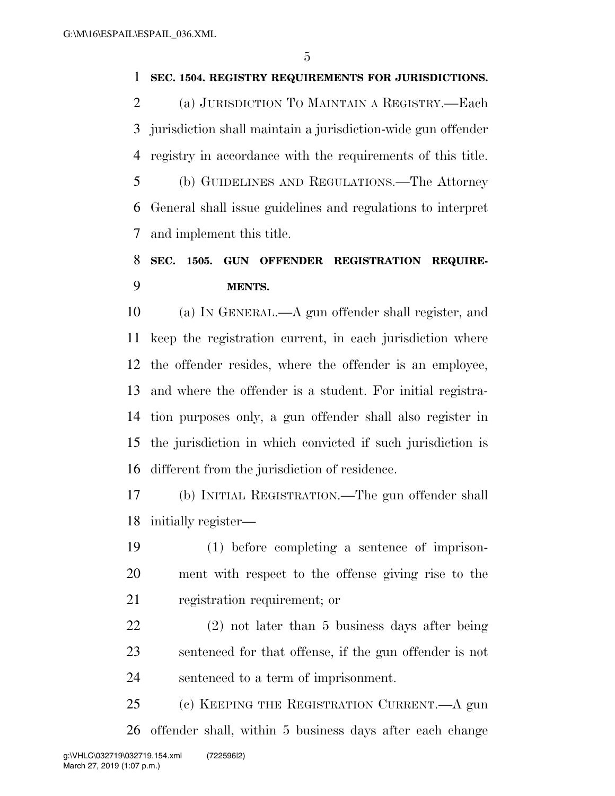### **SEC. 1504. REGISTRY REQUIREMENTS FOR JURISDICTIONS.**

 (a) JURISDICTION TO MAINTAIN A REGISTRY.—Each jurisdiction shall maintain a jurisdiction-wide gun offender registry in accordance with the requirements of this title. (b) GUIDELINES AND REGULATIONS.—The Attorney

 General shall issue guidelines and regulations to interpret and implement this title.

### **SEC. 1505. GUN OFFENDER REGISTRATION REQUIRE-MENTS.**

 (a) IN GENERAL.—A gun offender shall register, and keep the registration current, in each jurisdiction where the offender resides, where the offender is an employee, and where the offender is a student. For initial registra- tion purposes only, a gun offender shall also register in the jurisdiction in which convicted if such jurisdiction is different from the jurisdiction of residence.

 (b) INITIAL REGISTRATION.—The gun offender shall initially register—

 (1) before completing a sentence of imprison- ment with respect to the offense giving rise to the registration requirement; or

 (2) not later than 5 business days after being sentenced for that offense, if the gun offender is not sentenced to a term of imprisonment.

 (c) KEEPING THE REGISTRATION CURRENT.—A gun offender shall, within 5 business days after each change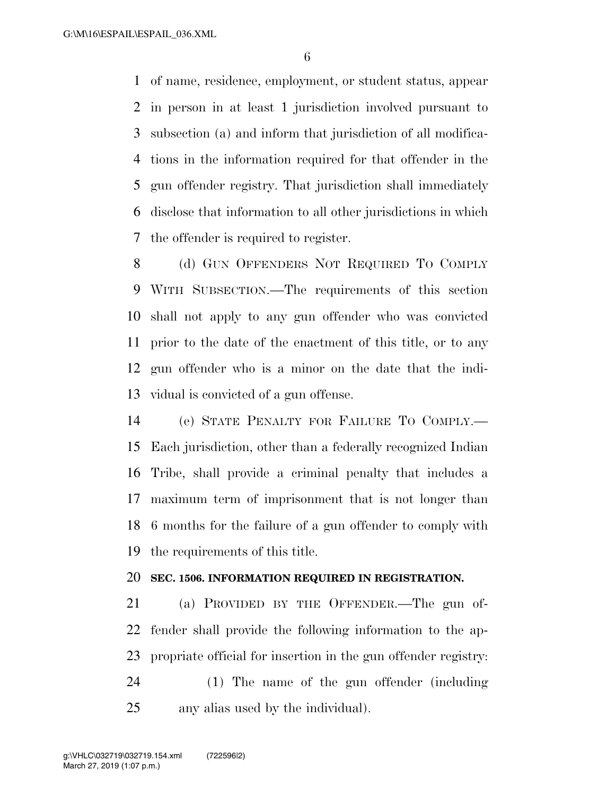of name, residence, employment, or student status, appear in person in at least 1 jurisdiction involved pursuant to subsection (a) and inform that jurisdiction of all modifica- tions in the information required for that offender in the gun offender registry. That jurisdiction shall immediately disclose that information to all other jurisdictions in which the offender is required to register.

8 (d) GUN OFFENDERS NOT REQUIRED TO COMPLY WITH SUBSECTION.—The requirements of this section shall not apply to any gun offender who was convicted prior to the date of the enactment of this title, or to any gun offender who is a minor on the date that the indi-vidual is convicted of a gun offense.

 (e) STATE PENALTY FOR FAILURE TO COMPLY.— Each jurisdiction, other than a federally recognized Indian Tribe, shall provide a criminal penalty that includes a maximum term of imprisonment that is not longer than 6 months for the failure of a gun offender to comply with the requirements of this title.

#### **SEC. 1506. INFORMATION REQUIRED IN REGISTRATION.**

 (a) PROVIDED BY THE OFFENDER.—The gun of- fender shall provide the following information to the ap- propriate official for insertion in the gun offender registry: (1) The name of the gun offender (including

any alias used by the individual).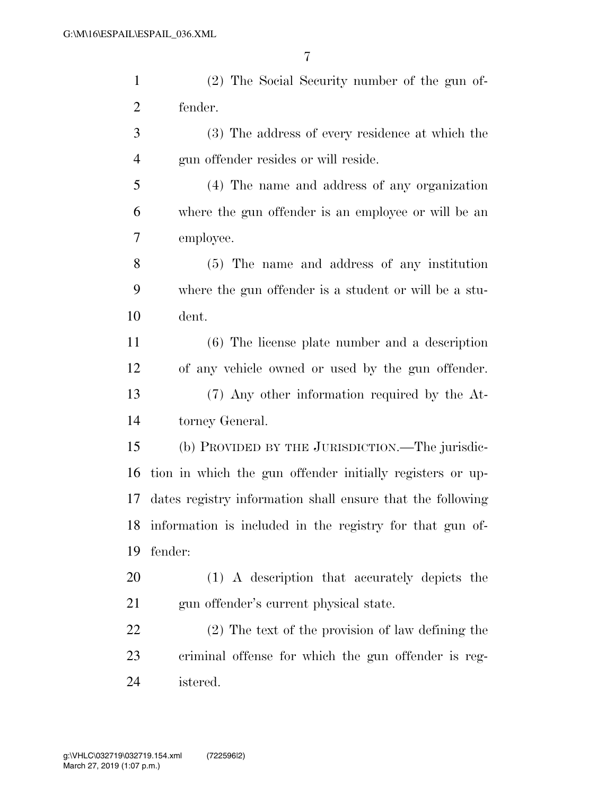| $\mathbf{1}$   | (2) The Social Security number of the gun of-               |
|----------------|-------------------------------------------------------------|
| $\overline{c}$ | fender.                                                     |
| 3              | (3) The address of every residence at which the             |
| $\overline{4}$ | gun offender resides or will reside.                        |
| 5              | (4) The name and address of any organization                |
| 6              | where the gun offender is an employee or will be an         |
| 7              | employee.                                                   |
| 8              | (5) The name and address of any institution                 |
| 9              | where the gun offender is a student or will be a stu-       |
| 10             | dent.                                                       |
| 11             | $(6)$ The license plate number and a description            |
| 12             | of any vehicle owned or used by the gun offender.           |
| 13             | (7) Any other information required by the At-               |
| 14             | torney General.                                             |
| 15             | (b) PROVIDED BY THE JURISDICTION.—The jurisdic-             |
| 16             | tion in which the gun offender initially registers or up-   |
| 17             | dates registry information shall ensure that the following  |
|                | 18 information is included in the registry for that gun of- |
| 19             | fender:                                                     |
| 20             | (1) A description that accurately depicts the               |
| 21             | gun offender's current physical state.                      |
| 22             | (2) The text of the provision of law defining the           |
| 23             | criminal offense for which the gun offender is reg-         |

istered.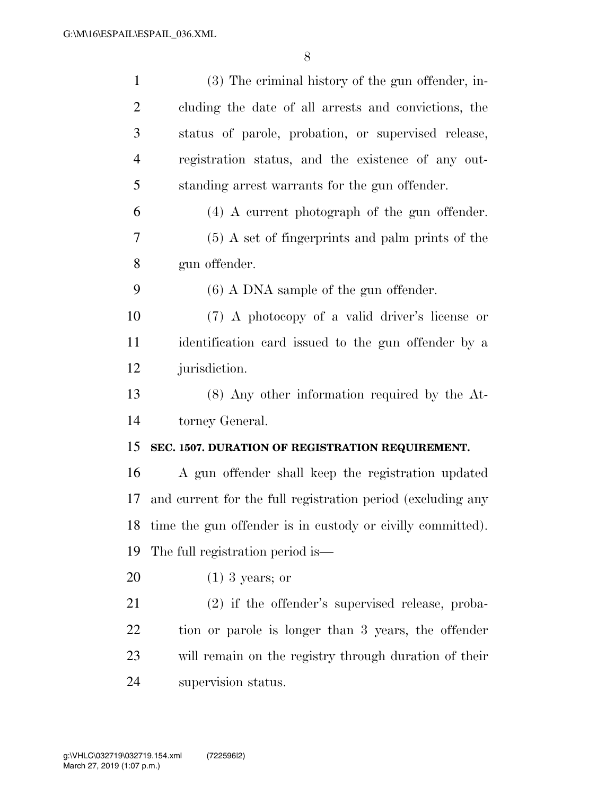| $\mathbf{1}$   | (3) The criminal history of the gun offender, in-             |
|----------------|---------------------------------------------------------------|
| $\overline{2}$ | cluding the date of all arrests and convictions, the          |
| 3              | status of parole, probation, or supervised release,           |
| $\overline{4}$ | registration status, and the existence of any out-            |
| 5              | standing arrest warrants for the gun offender.                |
| 6              | $(4)$ A current photograph of the gun offender.               |
| 7              | $(5)$ A set of fingerprints and palm prints of the            |
| 8              | gun offender.                                                 |
| 9              | $(6)$ A DNA sample of the gun offender.                       |
| 10             | (7) A photocopy of a valid driver's license or                |
| 11             | identification card issued to the gun offender by a           |
| 12             | jurisdiction.                                                 |
| 13             | $(8)$ Any other information required by the At-               |
| 14             | torney General.                                               |
| 15             | SEC. 1507. DURATION OF REGISTRATION REQUIREMENT.              |
| 16             | A gun offender shall keep the registration updated            |
| 17             | and current for the full registration period (excluding any   |
|                | 18 time the gun offender is in custody or civilly committed). |
| 19             | The full registration period is—                              |
| 20             | $(1)$ 3 years; or                                             |
| 21             | $(2)$ if the offender's supervised release, proba-            |
| 22             | tion or parole is longer than 3 years, the offender           |
| 23             | will remain on the registry through duration of their         |
| 24             | supervision status.                                           |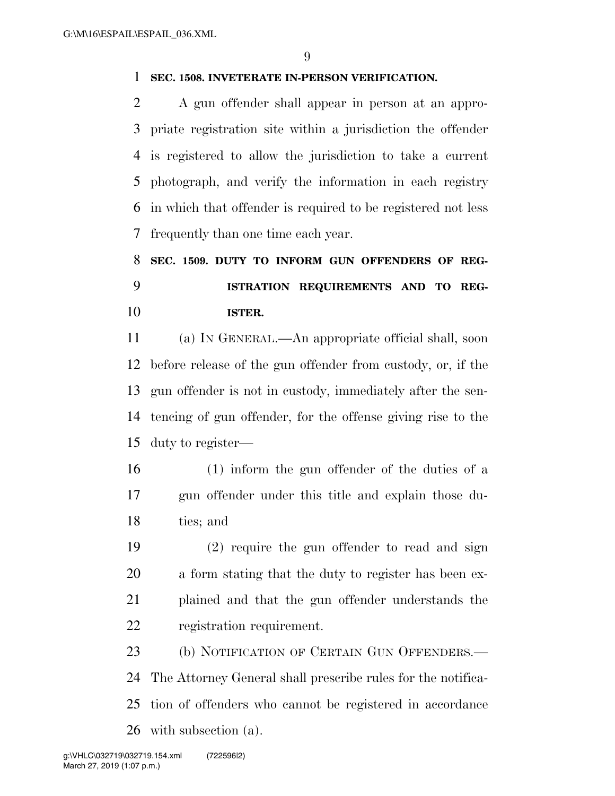### **SEC. 1508. INVETERATE IN-PERSON VERIFICATION.**

 A gun offender shall appear in person at an appro- priate registration site within a jurisdiction the offender is registered to allow the jurisdiction to take a current photograph, and verify the information in each registry in which that offender is required to be registered not less frequently than one time each year.

# **SEC. 1509. DUTY TO INFORM GUN OFFENDERS OF REG- ISTRATION REQUIREMENTS AND TO REG-ISTER.**

 (a) IN GENERAL.—An appropriate official shall, soon before release of the gun offender from custody, or, if the gun offender is not in custody, immediately after the sen- tencing of gun offender, for the offense giving rise to the duty to register—

- (1) inform the gun offender of the duties of a gun offender under this title and explain those du-ties; and
- (2) require the gun offender to read and sign a form stating that the duty to register has been ex- plained and that the gun offender understands the registration requirement.

 (b) NOTIFICATION OF CERTAIN GUN OFFENDERS.— The Attorney General shall prescribe rules for the notifica- tion of offenders who cannot be registered in accordance with subsection (a).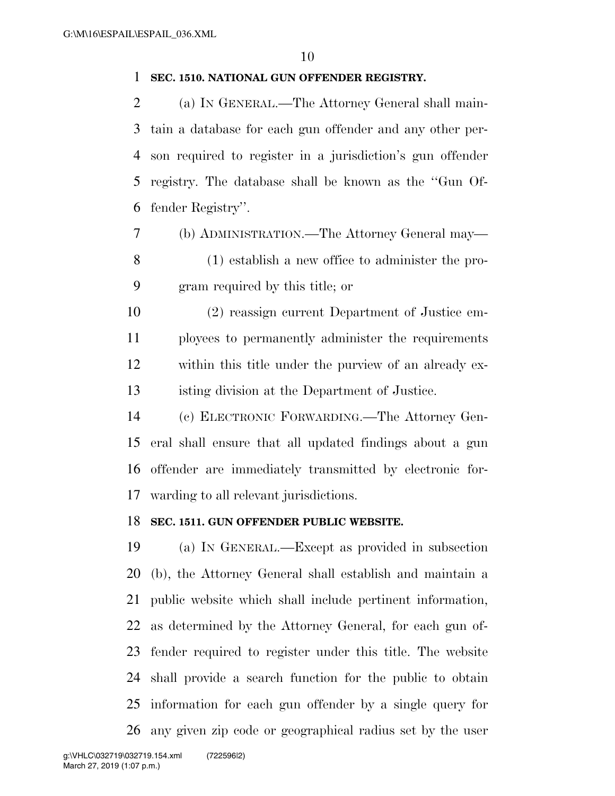#### **SEC. 1510. NATIONAL GUN OFFENDER REGISTRY.**

 (a) IN GENERAL.—The Attorney General shall main- tain a database for each gun offender and any other per- son required to register in a jurisdiction's gun offender registry. The database shall be known as the ''Gun Of-fender Registry''.

- (b) ADMINISTRATION.—The Attorney General may— (1) establish a new office to administer the pro-gram required by this title; or
- (2) reassign current Department of Justice em- ployees to permanently administer the requirements within this title under the purview of an already ex-isting division at the Department of Justice.
- (c) ELECTRONIC FORWARDING.—The Attorney Gen- eral shall ensure that all updated findings about a gun offender are immediately transmitted by electronic for-warding to all relevant jurisdictions.

### **SEC. 1511. GUN OFFENDER PUBLIC WEBSITE.**

 (a) IN GENERAL.—Except as provided in subsection (b), the Attorney General shall establish and maintain a public website which shall include pertinent information, as determined by the Attorney General, for each gun of- fender required to register under this title. The website shall provide a search function for the public to obtain information for each gun offender by a single query for any given zip code or geographical radius set by the user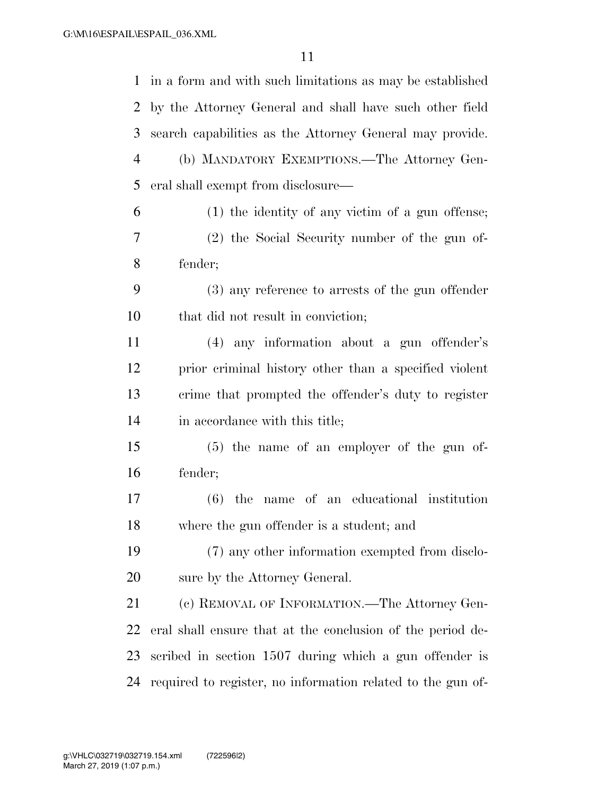| $\mathbf{1}$   | in a form and with such limitations as may be established   |
|----------------|-------------------------------------------------------------|
| 2              | by the Attorney General and shall have such other field     |
| 3              | search capabilities as the Attorney General may provide.    |
| $\overline{4}$ | (b) MANDATORY EXEMPTIONS.—The Attorney Gen-                 |
| 5              | eral shall exempt from disclosure—                          |
| 6              | $(1)$ the identity of any victim of a gun offense;          |
| 7              | (2) the Social Security number of the gun of-               |
| 8              | fender;                                                     |
| 9              | $(3)$ any reference to arrests of the gun offender          |
| $10\,$         | that did not result in conviction;                          |
| 11             | (4) any information about a gun offender's                  |
| 12             | prior criminal history other than a specified violent       |
| 13             | crime that prompted the offender's duty to register         |
| 14             | in accordance with this title;                              |
| 15             | $(5)$ the name of an employer of the gun of-                |
| 16             | fender;                                                     |
| 17             | name of an educational institution<br>$(6)$ the             |
| 18             | where the gun offender is a student; and                    |
| 19             | (7) any other information exempted from disclo-             |
| 20             | sure by the Attorney General.                               |
| 21             | (c) REMOVAL OF INFORMATION.—The Attorney Gen-               |
| 22             | eral shall ensure that at the conclusion of the period de-  |
| 23             | scribed in section 1507 during which a gun offender is      |
| 24             | required to register, no information related to the gun of- |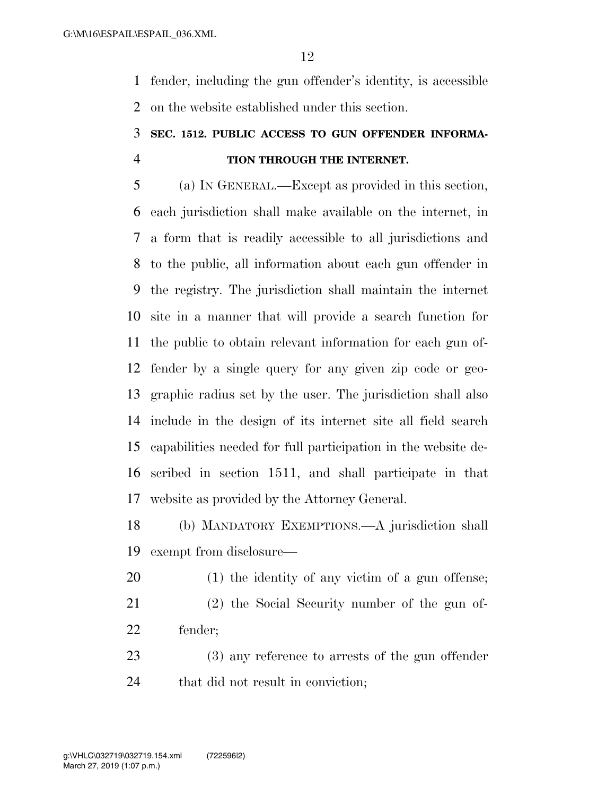fender, including the gun offender's identity, is accessible on the website established under this section.

### **SEC. 1512. PUBLIC ACCESS TO GUN OFFENDER INFORMA-TION THROUGH THE INTERNET.**

 (a) IN GENERAL.—Except as provided in this section, each jurisdiction shall make available on the internet, in a form that is readily accessible to all jurisdictions and to the public, all information about each gun offender in the registry. The jurisdiction shall maintain the internet site in a manner that will provide a search function for the public to obtain relevant information for each gun of- fender by a single query for any given zip code or geo- graphic radius set by the user. The jurisdiction shall also include in the design of its internet site all field search capabilities needed for full participation in the website de- scribed in section 1511, and shall participate in that website as provided by the Attorney General.

 (b) MANDATORY EXEMPTIONS.—A jurisdiction shall exempt from disclosure—

- (1) the identity of any victim of a gun offense;
- (2) the Social Security number of the gun of-fender;
- (3) any reference to arrests of the gun offender 24 that did not result in conviction;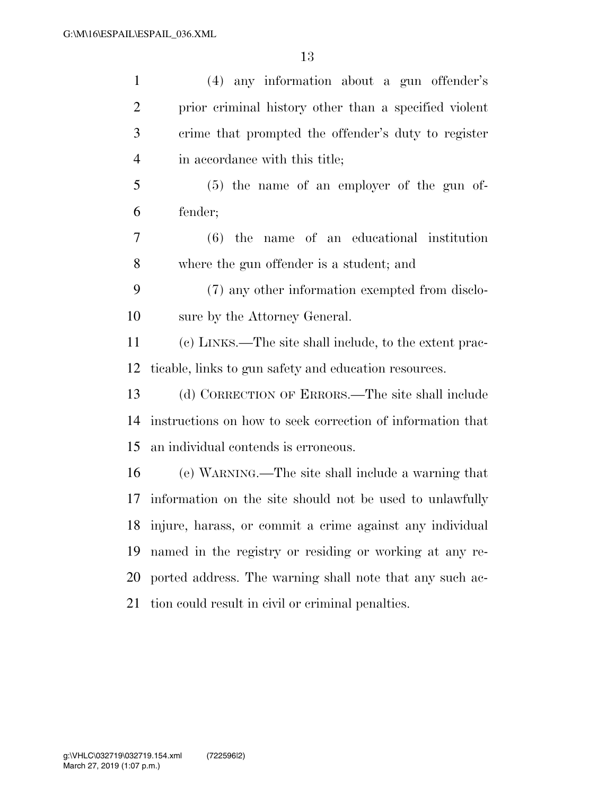| $\mathbf{1}$   | (4) any information about a gun offender's                  |
|----------------|-------------------------------------------------------------|
| $\overline{2}$ | prior criminal history other than a specified violent       |
| 3              | crime that prompted the offender's duty to register         |
| $\overline{4}$ | in accordance with this title;                              |
| 5              | $(5)$ the name of an employer of the gun of-                |
| 6              | fender;                                                     |
| $\overline{7}$ | $(6)$ the name of an educational institution                |
| 8              | where the gun offender is a student; and                    |
| 9              | (7) any other information exempted from disclo-             |
| 10             | sure by the Attorney General.                               |
| 11             | (c) LINKS.—The site shall include, to the extent prac-      |
| 12             | ticable, links to gun safety and education resources.       |
| 13             | (d) CORRECTION OF ERRORS.—The site shall include            |
| 14             | instructions on how to seek correction of information that  |
| 15             | an individual contends is erroneous.                        |
| 16             | (e) WARNING.—The site shall include a warning that          |
| 17             | information on the site should not be used to unlawfully    |
|                | 18 injure, harass, or commit a crime against any individual |
| 19             | named in the registry or residing or working at any re-     |
| 20             | ported address. The warning shall note that any such ac-    |
| 21             | tion could result in civil or criminal penalties.           |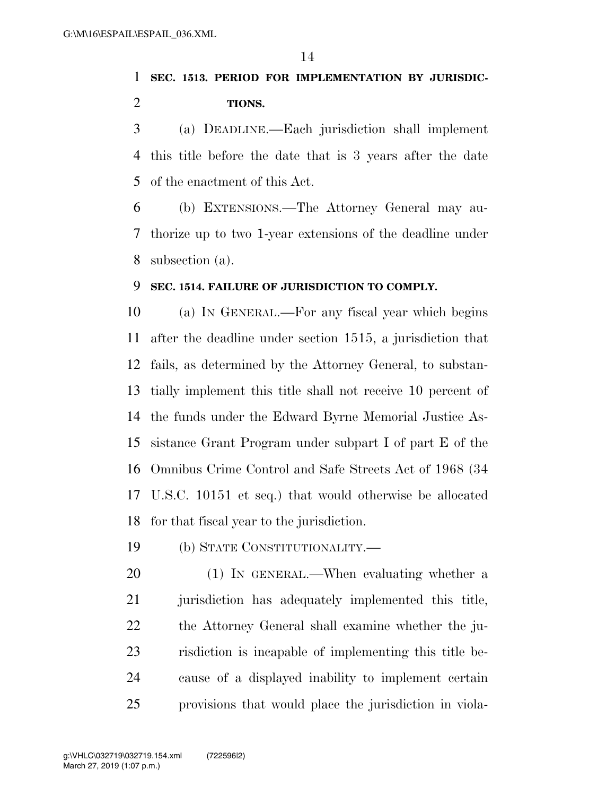### **SEC. 1513. PERIOD FOR IMPLEMENTATION BY JURISDIC-TIONS.**

 (a) DEADLINE.—Each jurisdiction shall implement this title before the date that is 3 years after the date of the enactment of this Act.

 (b) EXTENSIONS.—The Attorney General may au- thorize up to two 1-year extensions of the deadline under subsection (a).

### **SEC. 1514. FAILURE OF JURISDICTION TO COMPLY.**

 (a) IN GENERAL.—For any fiscal year which begins after the deadline under section 1515, a jurisdiction that fails, as determined by the Attorney General, to substan- tially implement this title shall not receive 10 percent of the funds under the Edward Byrne Memorial Justice As- sistance Grant Program under subpart I of part E of the Omnibus Crime Control and Safe Streets Act of 1968 (34 U.S.C. 10151 et seq.) that would otherwise be allocated for that fiscal year to the jurisdiction.

(b) STATE CONSTITUTIONALITY.—

 (1) IN GENERAL.—When evaluating whether a 21 jurisdiction has adequately implemented this title, the Attorney General shall examine whether the ju- risdiction is incapable of implementing this title be- cause of a displayed inability to implement certain provisions that would place the jurisdiction in viola-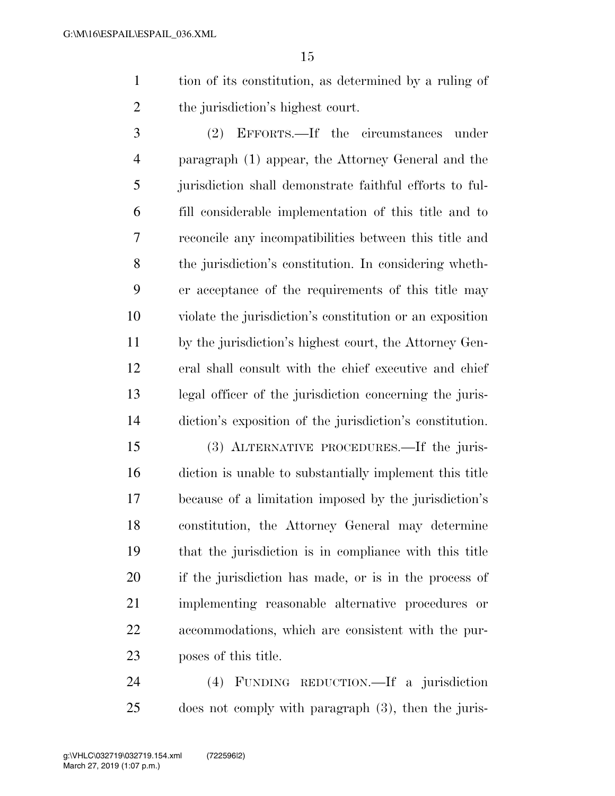tion of its constitution, as determined by a ruling of the jurisdiction's highest court.

 (2) EFFORTS.—If the circumstances under paragraph (1) appear, the Attorney General and the jurisdiction shall demonstrate faithful efforts to ful- fill considerable implementation of this title and to reconcile any incompatibilities between this title and the jurisdiction's constitution. In considering wheth- er acceptance of the requirements of this title may violate the jurisdiction's constitution or an exposition by the jurisdiction's highest court, the Attorney Gen- eral shall consult with the chief executive and chief legal officer of the jurisdiction concerning the juris-diction's exposition of the jurisdiction's constitution.

 (3) ALTERNATIVE PROCEDURES.—If the juris- diction is unable to substantially implement this title because of a limitation imposed by the jurisdiction's constitution, the Attorney General may determine that the jurisdiction is in compliance with this title if the jurisdiction has made, or is in the process of implementing reasonable alternative procedures or accommodations, which are consistent with the pur-poses of this title.

 (4) FUNDING REDUCTION.—If a jurisdiction does not comply with paragraph (3), then the juris-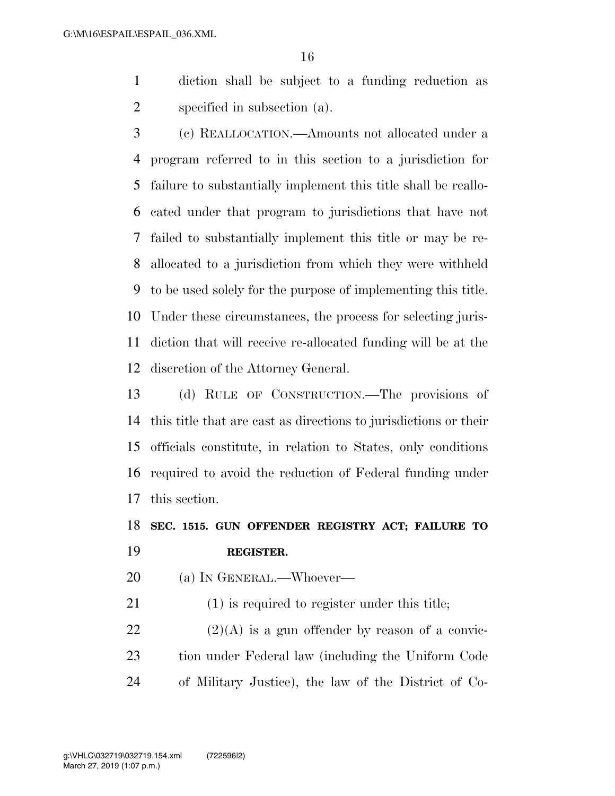diction shall be subject to a funding reduction as specified in subsection (a).

 (c) REALLOCATION.—Amounts not allocated under a program referred to in this section to a jurisdiction for failure to substantially implement this title shall be reallo- cated under that program to jurisdictions that have not failed to substantially implement this title or may be re- allocated to a jurisdiction from which they were withheld to be used solely for the purpose of implementing this title. Under these circumstances, the process for selecting juris- diction that will receive re-allocated funding will be at the discretion of the Attorney General.

 (d) RULE OF CONSTRUCTION.—The provisions of this title that are cast as directions to jurisdictions or their officials constitute, in relation to States, only conditions required to avoid the reduction of Federal funding under this section.

 **SEC. 1515. GUN OFFENDER REGISTRY ACT; FAILURE TO REGISTER.** 

(a) IN GENERAL.—Whoever—

(1) is required to register under this title;

22  $(2)(A)$  is a gun offender by reason of a convic- tion under Federal law (including the Uniform Code of Military Justice), the law of the District of Co-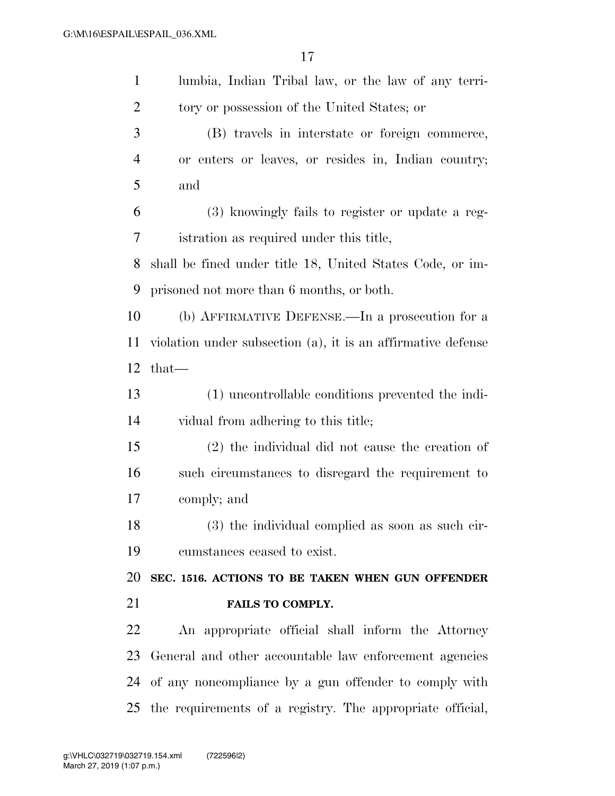| $\mathbf{1}$   | lumbia, Indian Tribal law, or the law of any terri-          |
|----------------|--------------------------------------------------------------|
| $\overline{2}$ | tory or possession of the United States; or                  |
| 3              | (B) travels in interstate or foreign commerce,               |
| $\overline{4}$ | or enters or leaves, or resides in, Indian country;          |
| 5              | and                                                          |
| 6              | (3) knowingly fails to register or update a reg-             |
| 7              | istration as required under this title,                      |
| 8              | shall be fined under title 18, United States Code, or im-    |
| 9              | prisoned not more than 6 months, or both.                    |
| 10             | (b) AFFIRMATIVE DEFENSE.—In a prosecution for a              |
| 11             | violation under subsection (a), it is an affirmative defense |
| 12             | $that$ —                                                     |
| 13             | (1) uncontrollable conditions prevented the indi-            |
| 14             | vidual from adhering to this title;                          |
| 15             | $(2)$ the individual did not cause the creation of           |
| 16             | such circumstances to disregard the requirement to           |
| 17             | comply; and                                                  |
| 18             | (3) the individual complied as soon as such cir-             |
| 19             | cumstances ceased to exist.                                  |
| 20             | SEC. 1516. ACTIONS TO BE TAKEN WHEN GUN OFFENDER             |
| 21             | <b>FAILS TO COMPLY.</b>                                      |
| 22             | An appropriate official shall inform the Attorney            |
| 23             | General and other accountable law enforcement agencies       |
| 24             | of any noncompliance by a gun offender to comply with        |
|                | 25 the requirements of a registry. The appropriate official, |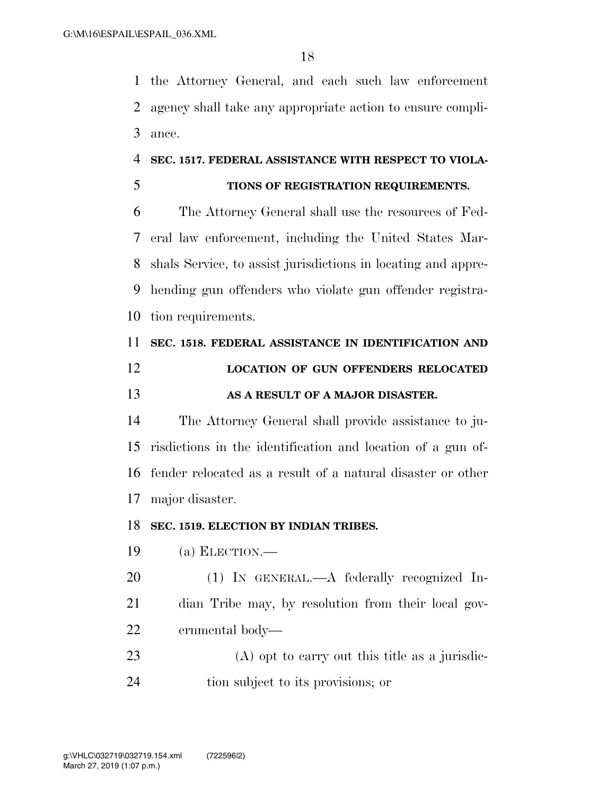the Attorney General, and each such law enforcement agency shall take any appropriate action to ensure compli-ance.

#### **SEC. 1517. FEDERAL ASSISTANCE WITH RESPECT TO VIOLA-**

### **TIONS OF REGISTRATION REQUIREMENTS.**

 The Attorney General shall use the resources of Fed- eral law enforcement, including the United States Mar- shals Service, to assist jurisdictions in locating and appre- hending gun offenders who violate gun offender registra-tion requirements.

## **SEC. 1518. FEDERAL ASSISTANCE IN IDENTIFICATION AND LOCATION OF GUN OFFENDERS RELOCATED AS A RESULT OF A MAJOR DISASTER.**

 The Attorney General shall provide assistance to ju- risdictions in the identification and location of a gun of- fender relocated as a result of a natural disaster or other major disaster.

#### **SEC. 1519. ELECTION BY INDIAN TRIBES.**

(a) ELECTION.—

 (1) IN GENERAL.—A federally recognized In- dian Tribe may, by resolution from their local gov-ernmental body—

 (A) opt to carry out this title as a jurisdic-tion subject to its provisions; or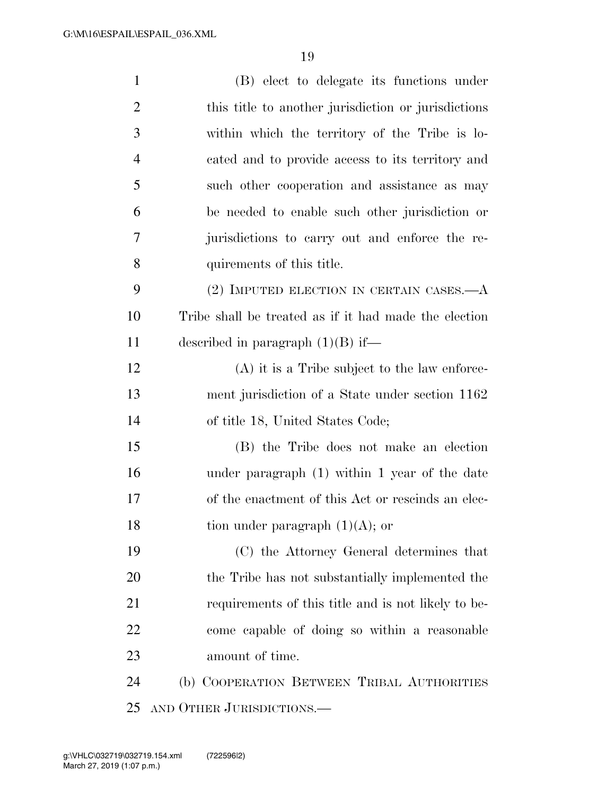| $\mathbf{1}$   | (B) elect to delegate its functions under             |
|----------------|-------------------------------------------------------|
| $\overline{2}$ | this title to another jurisdiction or jurisdictions   |
| 3              | within which the territory of the Tribe is lo-        |
| $\overline{4}$ | cated and to provide access to its territory and      |
| 5              | such other cooperation and assistance as may          |
| 6              | be needed to enable such other jurisdiction or        |
| 7              | jurisdictions to carry out and enforce the re-        |
| 8              | quirements of this title.                             |
| 9              | $(2)$ IMPUTED ELECTION IN CERTAIN CASES.— $A$         |
| 10             | Tribe shall be treated as if it had made the election |
| 11             | described in paragraph $(1)(B)$ if—                   |
| 12             | $(A)$ it is a Tribe subject to the law enforce-       |
| 13             | ment jurisdiction of a State under section 1162       |
| 14             | of title 18, United States Code;                      |
| 15             | (B) the Tribe does not make an election               |
| 16             | under paragraph $(1)$ within 1 year of the date       |
| 17             | of the enactment of this Act or rescinds an elec-     |
| 18             | tion under paragraph $(1)(A)$ ; or                    |
| 19             | (C) the Attorney General determines that              |
| <b>20</b>      | the Tribe has not substantially implemented the       |
| 21             | requirements of this title and is not likely to be-   |
| 22             | come capable of doing so within a reasonable          |
| 23             | amount of time.                                       |
| 24             | (b) COOPERATION BETWEEN TRIBAL AUTHORITIES            |
| 25             | AND OTHER JURISDICTIONS.                              |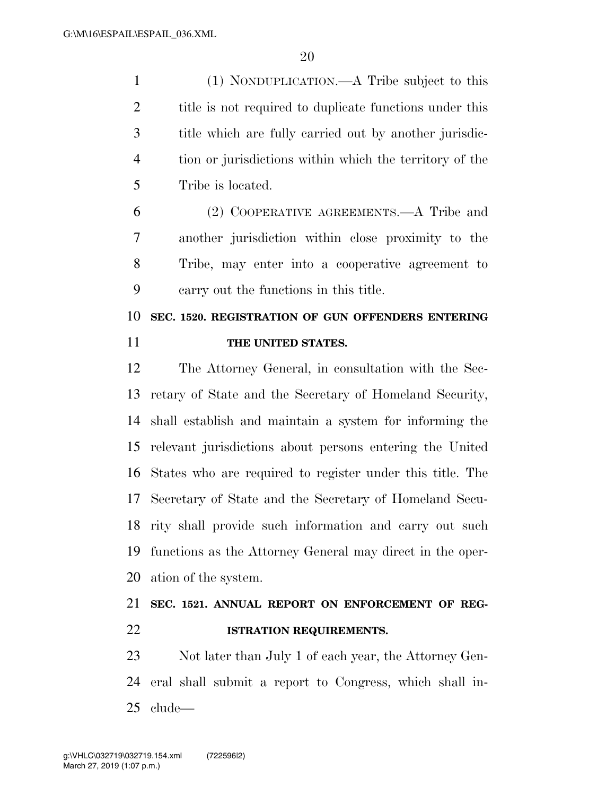(1) NONDUPLICATION.—A Tribe subject to this 2 title is not required to duplicate functions under this title which are fully carried out by another jurisdic- tion or jurisdictions within which the territory of the Tribe is located.

 (2) COOPERATIVE AGREEMENTS.—A Tribe and another jurisdiction within close proximity to the Tribe, may enter into a cooperative agreement to carry out the functions in this title.

 **SEC. 1520. REGISTRATION OF GUN OFFENDERS ENTERING THE UNITED STATES.** 

 The Attorney General, in consultation with the Sec- retary of State and the Secretary of Homeland Security, shall establish and maintain a system for informing the relevant jurisdictions about persons entering the United States who are required to register under this title. The Secretary of State and the Secretary of Homeland Secu- rity shall provide such information and carry out such functions as the Attorney General may direct in the oper-ation of the system.

### **SEC. 1521. ANNUAL REPORT ON ENFORCEMENT OF REG-ISTRATION REQUIREMENTS.**

 Not later than July 1 of each year, the Attorney Gen- eral shall submit a report to Congress, which shall in-clude—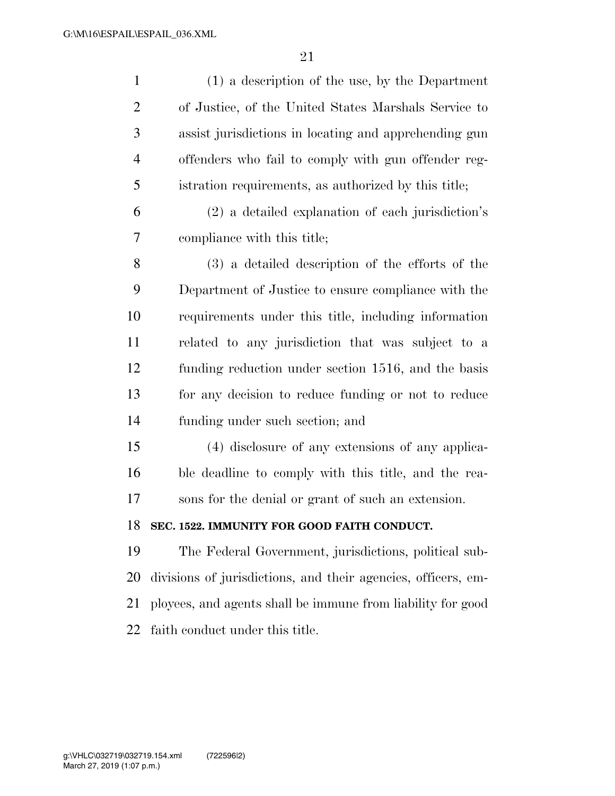| $\mathbf{1}$   | $(1)$ a description of the use, by the Department             |
|----------------|---------------------------------------------------------------|
| $\overline{2}$ | of Justice, of the United States Marshals Service to          |
| 3              | assist jurisdictions in locating and apprehending gun         |
| $\overline{4}$ | offenders who fail to comply with gun offender reg-           |
| 5              | istration requirements, as authorized by this title;          |
| 6              | (2) a detailed explanation of each jurisdiction's             |
| 7              | compliance with this title;                                   |
| 8              | (3) a detailed description of the efforts of the              |
| 9              | Department of Justice to ensure compliance with the           |
| 10             | requirements under this title, including information          |
| 11             | related to any jurisdiction that was subject to a             |
| 12             | funding reduction under section 1516, and the basis           |
| 13             | for any decision to reduce funding or not to reduce           |
| 14             | funding under such section; and                               |
| 15             | (4) disclosure of any extensions of any applica-              |
| 16             | ble deadline to comply with this title, and the rea-          |
| 17             | sons for the denial or grant of such an extension.            |
| 18             | SEC. 1522. IMMUNITY FOR GOOD FAITH CONDUCT.                   |
| 19             | The Federal Government, jurisdictions, political sub-         |
| 20             | divisions of jurisdictions, and their agencies, officers, em- |
| 21             | ployees, and agents shall be immune from liability for good   |
| 22             | faith conduct under this title.                               |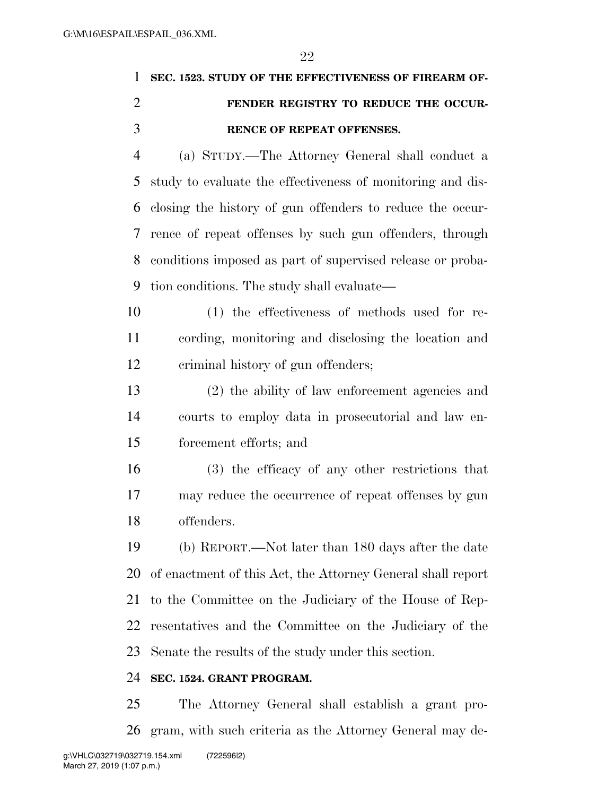| 1 SEC. 1523. STUDY OF THE EFFECTIVENESS OF FIREARM OF- |
|--------------------------------------------------------|
| FENDER REGISTRY TO REDUCE THE OCCUR-                   |
| <b>RENCE OF REPEAT OFFENSES.</b>                       |

 (a) STUDY.—The Attorney General shall conduct a study to evaluate the effectiveness of monitoring and dis- closing the history of gun offenders to reduce the occur- rence of repeat offenses by such gun offenders, through conditions imposed as part of supervised release or proba-tion conditions. The study shall evaluate—

- (1) the effectiveness of methods used for re- cording, monitoring and disclosing the location and criminal history of gun offenders;
- (2) the ability of law enforcement agencies and courts to employ data in prosecutorial and law en-forcement efforts; and
- (3) the efficacy of any other restrictions that may reduce the occurrence of repeat offenses by gun offenders.
- (b) REPORT.—Not later than 180 days after the date of enactment of this Act, the Attorney General shall report to the Committee on the Judiciary of the House of Rep- resentatives and the Committee on the Judiciary of the Senate the results of the study under this section.

### **SEC. 1524. GRANT PROGRAM.**

 The Attorney General shall establish a grant pro-gram, with such criteria as the Attorney General may de-